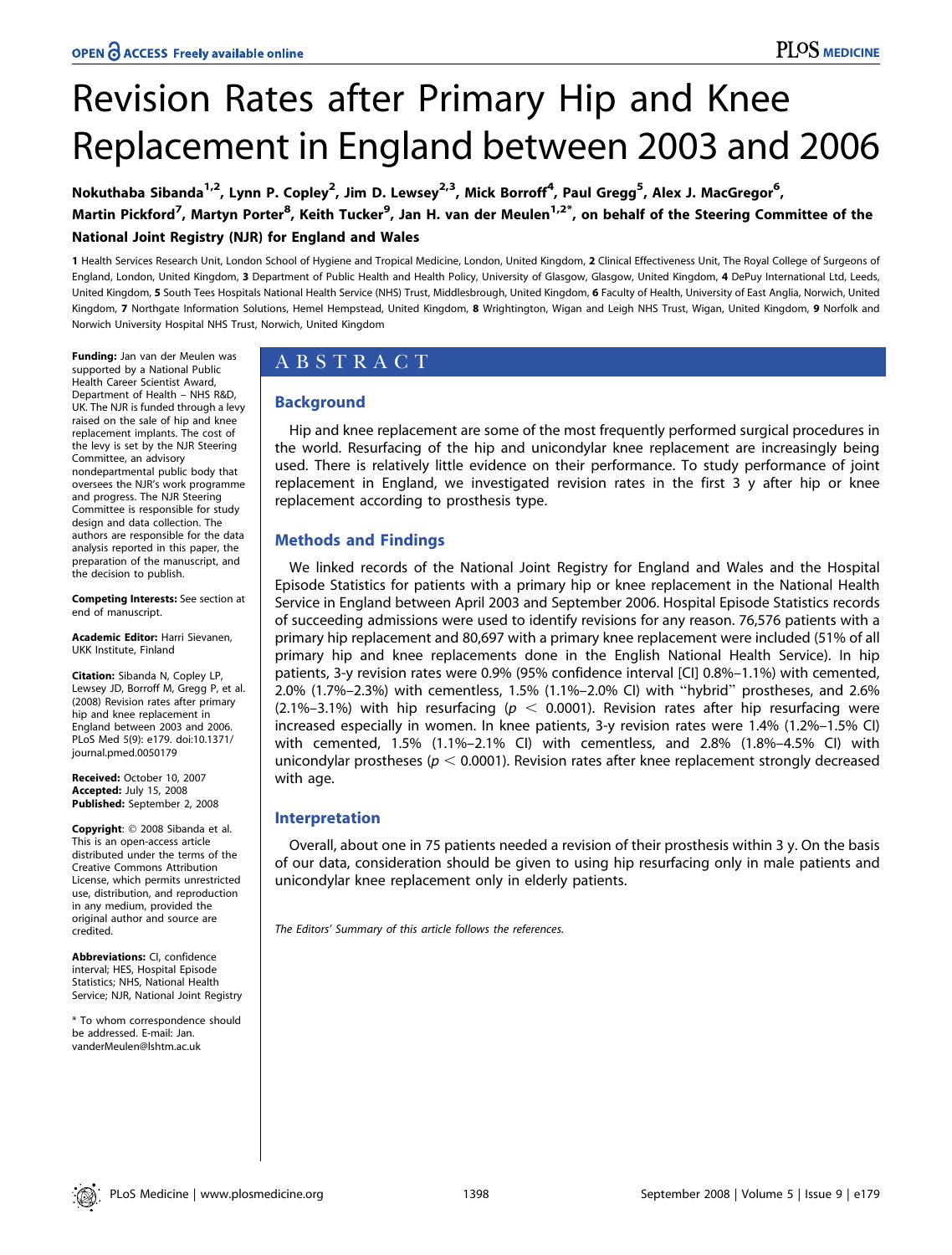# Revision Rates after Primary Hip and Knee Replacement in England between 2003 and 2006

Nokuthaba Sibanda<sup>1,2</sup>, Lynn P. Copley<sup>2</sup>, Jim D. Lewsey<sup>2,3</sup>, Mick Borroff<sup>4</sup>, Paul Gregg<sup>5</sup>, Alex J. MacGregor<sup>6</sup>, Martin Pickford<sup>7</sup>, Martyn Porter<sup>8</sup>, Keith Tucker<sup>9</sup>, Jan H. van der Meulen<sup>1,2\*</sup>, on behalf of the Steering Committee of the National Joint Registry (NJR) for England and Wales

1 Health Services Research Unit, London School of Hygiene and Tropical Medicine, London, United Kingdom, 2 Clinical Effectiveness Unit, The Royal College of Surgeons of England, London, United Kingdom, 3 Department of Public Health and Health Policy, University of Glasgow, Glasgow, United Kingdom, 4 DePuy International Ltd, Leeds, United Kingdom, 5 South Tees Hospitals National Health Service (NHS) Trust, Middlesbrough, United Kingdom, 6 Faculty of Health, University of East Anglia, Norwich, United Kingdom, 7 Northgate Information Solutions, Hemel Hempstead, United Kingdom, 8 Wrightington, Wigan and Leigh NHS Trust, Wigan, United Kingdom, 9 Norfolk and Norwich University Hospital NHS Trust, Norwich, United Kingdom

Funding: Jan van der Meulen was supported by a National Public Health Career Scientist Award, Department of Health – NHS R&D, UK. The NJR is funded through a levy raised on the sale of hip and knee replacement implants. The cost of the levy is set by the NJR Steering Committee, an advisory nondepartmental public body that oversees the NJR's work programme and progress. The NJR Steering Committee is responsible for study design and data collection. The authors are responsible for the data analysis reported in this paper, the preparation of the manuscript, and the decision to publish.

Competing Interests: See section at end of manuscript.

Academic Editor: Harri Sievanen, UKK Institute, Finland

Citation: Sibanda N, Copley LP, Lewsey JD, Borroff M, Gregg P, et al. (2008) Revision rates after primary hip and knee replacement in England between 2003 and 2006. PLoS Med 5(9): e179. doi:10.1371/ journal.pmed.0050179

Received: October 10, 2007 Accepted: July 15, 2008 Published: September 2, 2008

Copyright: © 2008 Sibanda et al. This is an open-access article distributed under the terms of the Creative Commons Attribution License, which permits unrestricted use, distribution, and reproduction in any medium, provided the original author and source are credited.

Abbreviations: CI, confidence interval; HES, Hospital Episode Statistics; NHS, National Health Service; NJR, National Joint Registry

\* To whom correspondence should be addressed. E-mail: Jan. vanderMeulen@lshtm.ac.uk

# ABSTRACT

# Background

Hip and knee replacement are some of the most frequently performed surgical procedures in the world. Resurfacing of the hip and unicondylar knee replacement are increasingly being used. There is relatively little evidence on their performance. To study performance of joint replacement in England, we investigated revision rates in the first 3 y after hip or knee replacement according to prosthesis type.

# Methods and Findings

We linked records of the National Joint Registry for England and Wales and the Hospital Episode Statistics for patients with a primary hip or knee replacement in the National Health Service in England between April 2003 and September 2006. Hospital Episode Statistics records of succeeding admissions were used to identify revisions for any reason. 76,576 patients with a primary hip replacement and 80,697 with a primary knee replacement were included (51% of all primary hip and knee replacements done in the English National Health Service). In hip patients, 3-y revision rates were 0.9% (95% confidence interval [CI] 0.8%–1.1%) with cemented, 2.0% (1.7%–2.3%) with cementless, 1.5% (1.1%–2.0% CI) with ''hybrid'' prostheses, and 2.6% (2.1%–3.1%) with hip resurfacing ( $p < 0.0001$ ). Revision rates after hip resurfacing were increased especially in women. In knee patients, 3-y revision rates were 1.4% (1.2%–1.5% CI) with cemented, 1.5% (1.1%–2.1% CI) with cementless, and 2.8% (1.8%–4.5% CI) with unicondylar prostheses ( $p < 0.0001$ ). Revision rates after knee replacement strongly decreased with age.

# Interpretation

Overall, about one in 75 patients needed a revision of their prosthesis within 3 y. On the basis of our data, consideration should be given to using hip resurfacing only in male patients and unicondylar knee replacement only in elderly patients.

The Editors' Summary of this article follows the references.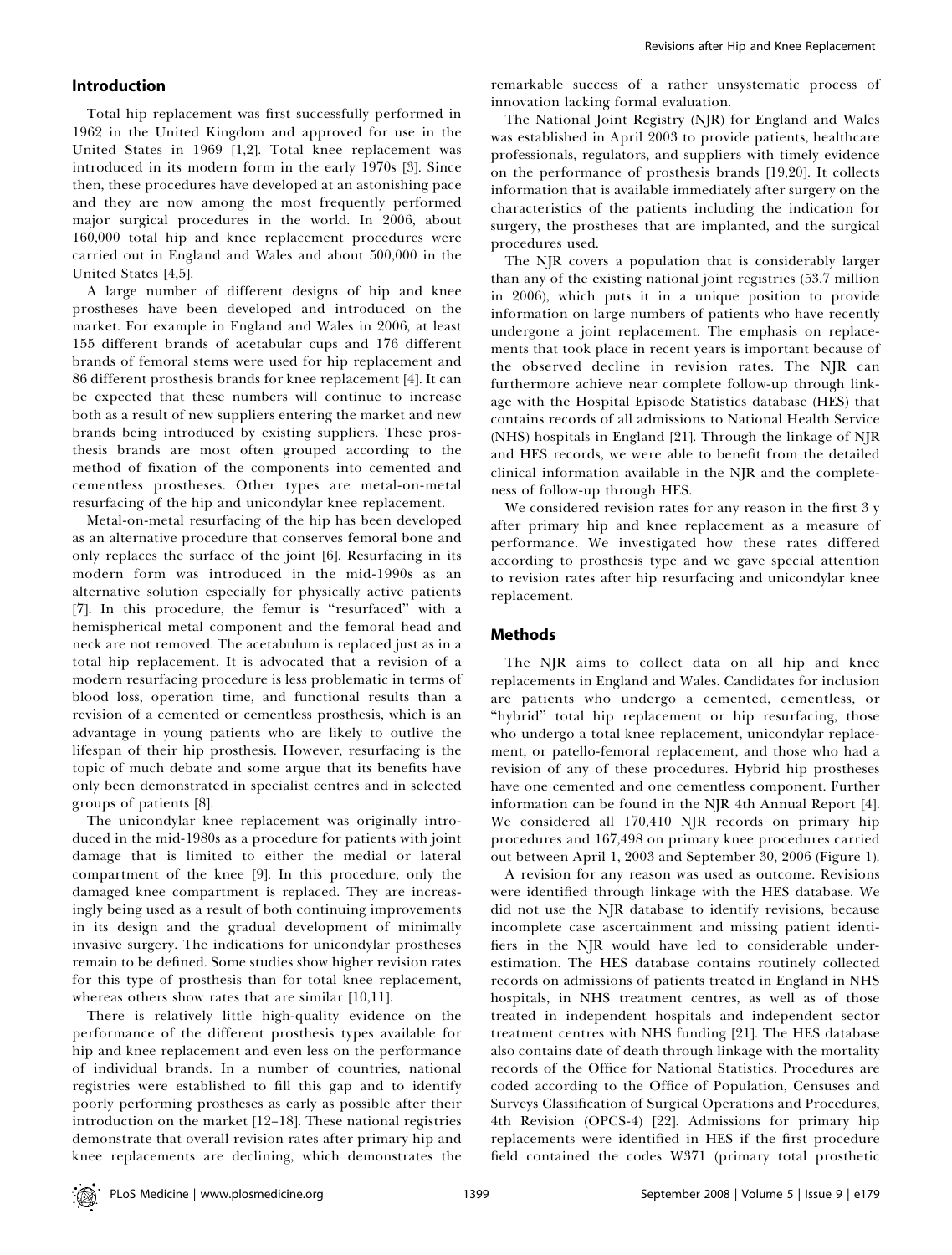## Introduction

Total hip replacement was first successfully performed in 1962 in the United Kingdom and approved for use in the United States in 1969 [1,2]. Total knee replacement was introduced in its modern form in the early 1970s [3]. Since then, these procedures have developed at an astonishing pace and they are now among the most frequently performed major surgical procedures in the world. In 2006, about 160,000 total hip and knee replacement procedures were carried out in England and Wales and about 500,000 in the United States [4,5].

A large number of different designs of hip and knee prostheses have been developed and introduced on the market. For example in England and Wales in 2006, at least 155 different brands of acetabular cups and 176 different brands of femoral stems were used for hip replacement and 86 different prosthesis brands for knee replacement [4]. It can be expected that these numbers will continue to increase both as a result of new suppliers entering the market and new brands being introduced by existing suppliers. These prosthesis brands are most often grouped according to the method of fixation of the components into cemented and cementless prostheses. Other types are metal-on-metal resurfacing of the hip and unicondylar knee replacement.

Metal-on-metal resurfacing of the hip has been developed as an alternative procedure that conserves femoral bone and only replaces the surface of the joint [6]. Resurfacing in its modern form was introduced in the mid-1990s as an alternative solution especially for physically active patients [7]. In this procedure, the femur is ''resurfaced'' with a hemispherical metal component and the femoral head and neck are not removed. The acetabulum is replaced just as in a total hip replacement. It is advocated that a revision of a modern resurfacing procedure is less problematic in terms of blood loss, operation time, and functional results than a revision of a cemented or cementless prosthesis, which is an advantage in young patients who are likely to outlive the lifespan of their hip prosthesis. However, resurfacing is the topic of much debate and some argue that its benefits have only been demonstrated in specialist centres and in selected groups of patients [8].

The unicondylar knee replacement was originally introduced in the mid-1980s as a procedure for patients with joint damage that is limited to either the medial or lateral compartment of the knee [9]. In this procedure, only the damaged knee compartment is replaced. They are increasingly being used as a result of both continuing improvements in its design and the gradual development of minimally invasive surgery. The indications for unicondylar prostheses remain to be defined. Some studies show higher revision rates for this type of prosthesis than for total knee replacement, whereas others show rates that are similar [10,11].

There is relatively little high-quality evidence on the performance of the different prosthesis types available for hip and knee replacement and even less on the performance of individual brands. In a number of countries, national registries were established to fill this gap and to identify poorly performing prostheses as early as possible after their introduction on the market [12–18]. These national registries demonstrate that overall revision rates after primary hip and knee replacements are declining, which demonstrates the

remarkable success of a rather unsystematic process of innovation lacking formal evaluation.

The National Joint Registry (NJR) for England and Wales was established in April 2003 to provide patients, healthcare professionals, regulators, and suppliers with timely evidence on the performance of prosthesis brands [19,20]. It collects information that is available immediately after surgery on the characteristics of the patients including the indication for surgery, the prostheses that are implanted, and the surgical procedures used.

The NJR covers a population that is considerably larger than any of the existing national joint registries (53.7 million in 2006), which puts it in a unique position to provide information on large numbers of patients who have recently undergone a joint replacement. The emphasis on replacements that took place in recent years is important because of the observed decline in revision rates. The NJR can furthermore achieve near complete follow-up through linkage with the Hospital Episode Statistics database (HES) that contains records of all admissions to National Health Service (NHS) hospitals in England [21]. Through the linkage of NJR and HES records, we were able to benefit from the detailed clinical information available in the NJR and the completeness of follow-up through HES.

We considered revision rates for any reason in the first 3 y after primary hip and knee replacement as a measure of performance. We investigated how these rates differed according to prosthesis type and we gave special attention to revision rates after hip resurfacing and unicondylar knee replacement.

## Methods

The NJR aims to collect data on all hip and knee replacements in England and Wales. Candidates for inclusion are patients who undergo a cemented, cementless, or "hybrid" total hip replacement or hip resurfacing, those who undergo a total knee replacement, unicondylar replacement, or patello-femoral replacement, and those who had a revision of any of these procedures. Hybrid hip prostheses have one cemented and one cementless component. Further information can be found in the NJR 4th Annual Report [4]. We considered all 170,410 NJR records on primary hip procedures and 167,498 on primary knee procedures carried out between April 1, 2003 and September 30, 2006 (Figure 1).

A revision for any reason was used as outcome. Revisions were identified through linkage with the HES database. We did not use the NJR database to identify revisions, because incomplete case ascertainment and missing patient identifiers in the NJR would have led to considerable underestimation. The HES database contains routinely collected records on admissions of patients treated in England in NHS hospitals, in NHS treatment centres, as well as of those treated in independent hospitals and independent sector treatment centres with NHS funding [21]. The HES database also contains date of death through linkage with the mortality records of the Office for National Statistics. Procedures are coded according to the Office of Population, Censuses and Surveys Classification of Surgical Operations and Procedures, 4th Revision (OPCS-4) [22]. Admissions for primary hip replacements were identified in HES if the first procedure field contained the codes W371 (primary total prosthetic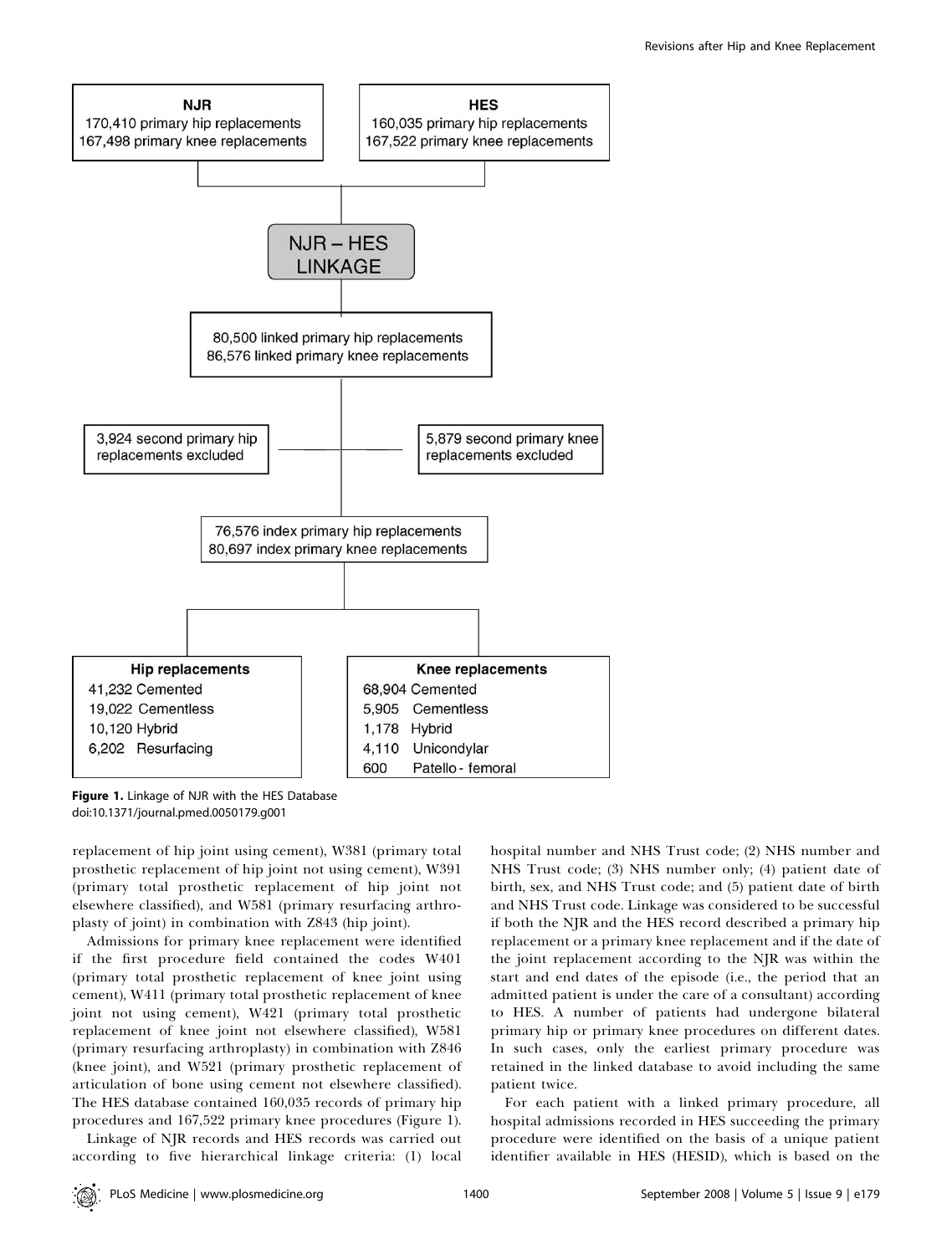

Figure 1. Linkage of NJR with the HES Database doi:10.1371/journal.pmed.0050179.g001

replacement of hip joint using cement), W381 (primary total prosthetic replacement of hip joint not using cement), W391 (primary total prosthetic replacement of hip joint not elsewhere classified), and W581 (primary resurfacing arthroplasty of joint) in combination with Z843 (hip joint).

Admissions for primary knee replacement were identified if the first procedure field contained the codes W401 (primary total prosthetic replacement of knee joint using cement), W411 (primary total prosthetic replacement of knee joint not using cement), W421 (primary total prosthetic replacement of knee joint not elsewhere classified), W581 (primary resurfacing arthroplasty) in combination with Z846 (knee joint), and W521 (primary prosthetic replacement of articulation of bone using cement not elsewhere classified). The HES database contained 160,035 records of primary hip procedures and 167,522 primary knee procedures (Figure 1).

Linkage of NJR records and HES records was carried out according to five hierarchical linkage criteria: (1) local

hospital number and NHS Trust code; (2) NHS number and NHS Trust code; (3) NHS number only; (4) patient date of birth, sex, and NHS Trust code; and (5) patient date of birth and NHS Trust code. Linkage was considered to be successful if both the NJR and the HES record described a primary hip replacement or a primary knee replacement and if the date of the joint replacement according to the NJR was within the start and end dates of the episode (i.e., the period that an admitted patient is under the care of a consultant) according to HES. A number of patients had undergone bilateral primary hip or primary knee procedures on different dates. In such cases, only the earliest primary procedure was retained in the linked database to avoid including the same patient twice.

For each patient with a linked primary procedure, all hospital admissions recorded in HES succeeding the primary procedure were identified on the basis of a unique patient identifier available in HES (HESID), which is based on the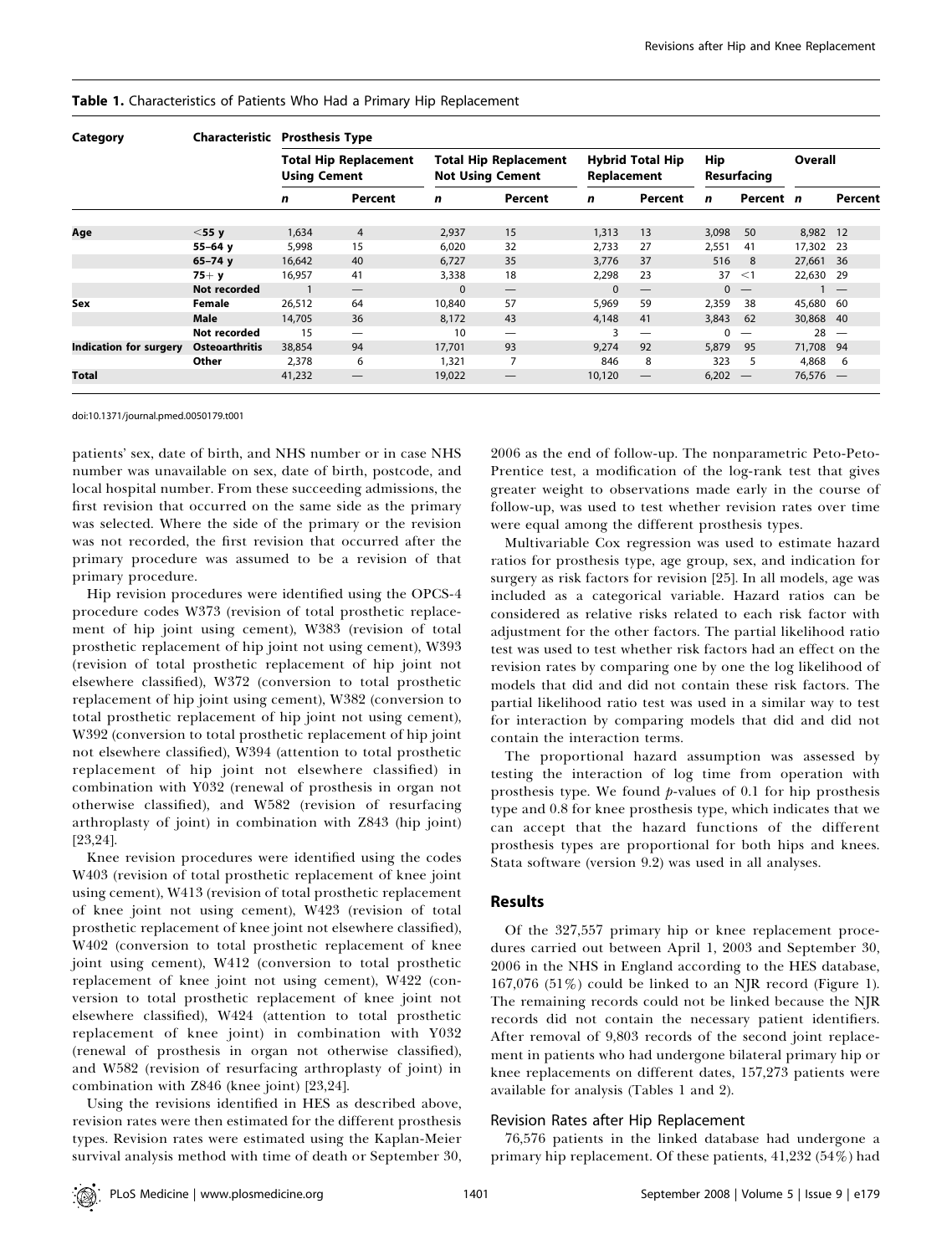| Category                      | Characteristic        | <b>Prosthesis Type</b>                              |                          |                                                         |                                 |                                        |         |                           |           |          |         |
|-------------------------------|-----------------------|-----------------------------------------------------|--------------------------|---------------------------------------------------------|---------------------------------|----------------------------------------|---------|---------------------------|-----------|----------|---------|
|                               |                       | <b>Total Hip Replacement</b><br><b>Using Cement</b> |                          | <b>Total Hip Replacement</b><br><b>Not Using Cement</b> |                                 | <b>Hybrid Total Hip</b><br>Replacement |         | <b>Hip</b><br>Resurfacing |           | Overall  |         |
|                               |                       | n                                                   | Percent                  | n                                                       | Percent                         | n                                      | Percent | n                         | Percent n |          | Percent |
| Age                           | $<$ 55 y              | 1,634                                               | $\overline{4}$           | 2,937                                                   | 15                              | 1,313                                  | 13      | 3,098                     | 50        | 8,982 12 |         |
|                               | $55 - 64$ y           | 5,998                                               | 15                       | 6,020                                                   | 32                              | 2.733                                  | 27      | 2,551                     | 41        | 17,302   | - 23    |
|                               | $65 - 74y$            | 16,642                                              | 40                       | 6,727                                                   | 35                              | 3,776                                  | 37      | 516                       | 8         | 27,661   | - 36    |
|                               | $75+ y$               | 16,957                                              | 41                       | 3,338                                                   | 18                              | 2,298                                  | 23      | 37                        | $\leq$ 1  | 22,630   | 29      |
|                               | Not recorded          |                                                     |                          | $\Omega$                                                | $\hspace{0.1mm}-\hspace{0.1mm}$ | $\Omega$                               |         |                           | $0 -$     |          |         |
| Sex                           | Female                | 26,512                                              | 64                       | 10,840                                                  | 57                              | 5.969                                  | 59      | 2,359                     | 38        | 45,680   | 60      |
|                               | Male                  | 14,705                                              | 36                       | 8,172                                                   | 43                              | 4,148                                  | 41      | 3,843                     | 62        | 30,868   | 40      |
|                               | Not recorded          | 15                                                  | $\overline{\phantom{0}}$ | 10                                                      |                                 | 3                                      |         |                           |           | 28       |         |
| <b>Indication for surgery</b> | <b>Osteoarthritis</b> | 38,854                                              | 94                       | 17.701                                                  | 93                              | 9.274                                  | 92      | 5.879                     | 95        | 71,708   | 94      |
|                               | Other                 | 2,378                                               | 6                        | 1,321                                                   | 7                               | 846                                    | 8       | 323                       | 5         | 4,868    | 6       |
| <b>Total</b>                  |                       | 41,232                                              |                          | 19,022                                                  |                                 | 10,120                                 |         | 6,202                     |           | 76,576   |         |

#### Table 1. Characteristics of Patients Who Had a Primary Hip Replacement

doi:10.1371/journal.pmed.0050179.t001

patients' sex, date of birth, and NHS number or in case NHS number was unavailable on sex, date of birth, postcode, and local hospital number. From these succeeding admissions, the first revision that occurred on the same side as the primary was selected. Where the side of the primary or the revision was not recorded, the first revision that occurred after the primary procedure was assumed to be a revision of that primary procedure.

Hip revision procedures were identified using the OPCS-4 procedure codes W373 (revision of total prosthetic replacement of hip joint using cement), W383 (revision of total prosthetic replacement of hip joint not using cement), W393 (revision of total prosthetic replacement of hip joint not elsewhere classified), W372 (conversion to total prosthetic replacement of hip joint using cement), W382 (conversion to total prosthetic replacement of hip joint not using cement), W392 (conversion to total prosthetic replacement of hip joint not elsewhere classified), W394 (attention to total prosthetic replacement of hip joint not elsewhere classified) in combination with Y032 (renewal of prosthesis in organ not otherwise classified), and W582 (revision of resurfacing arthroplasty of joint) in combination with Z843 (hip joint) [23,24].

Knee revision procedures were identified using the codes W403 (revision of total prosthetic replacement of knee joint using cement), W413 (revision of total prosthetic replacement of knee joint not using cement), W423 (revision of total prosthetic replacement of knee joint not elsewhere classified), W402 (conversion to total prosthetic replacement of knee joint using cement), W412 (conversion to total prosthetic replacement of knee joint not using cement), W422 (conversion to total prosthetic replacement of knee joint not elsewhere classified), W424 (attention to total prosthetic replacement of knee joint) in combination with Y032 (renewal of prosthesis in organ not otherwise classified), and W582 (revision of resurfacing arthroplasty of joint) in combination with Z846 (knee joint) [23,24].

Using the revisions identified in HES as described above, revision rates were then estimated for the different prosthesis types. Revision rates were estimated using the Kaplan-Meier survival analysis method with time of death or September 30,

2006 as the end of follow-up. The nonparametric Peto-Peto-Prentice test, a modification of the log-rank test that gives greater weight to observations made early in the course of follow-up, was used to test whether revision rates over time were equal among the different prosthesis types.

Multivariable Cox regression was used to estimate hazard ratios for prosthesis type, age group, sex, and indication for surgery as risk factors for revision [25]. In all models, age was included as a categorical variable. Hazard ratios can be considered as relative risks related to each risk factor with adjustment for the other factors. The partial likelihood ratio test was used to test whether risk factors had an effect on the revision rates by comparing one by one the log likelihood of models that did and did not contain these risk factors. The partial likelihood ratio test was used in a similar way to test for interaction by comparing models that did and did not contain the interaction terms.

The proportional hazard assumption was assessed by testing the interaction of log time from operation with prosthesis type. We found  $p$ -values of 0.1 for hip prosthesis type and 0.8 for knee prosthesis type, which indicates that we can accept that the hazard functions of the different prosthesis types are proportional for both hips and knees. Stata software (version 9.2) was used in all analyses.

# Results

Of the 327,557 primary hip or knee replacement procedures carried out between April 1, 2003 and September 30, 2006 in the NHS in England according to the HES database, 167,076 (51%) could be linked to an NJR record (Figure 1). The remaining records could not be linked because the NJR records did not contain the necessary patient identifiers. After removal of 9,803 records of the second joint replacement in patients who had undergone bilateral primary hip or knee replacements on different dates, 157,273 patients were available for analysis (Tables 1 and 2).

## Revision Rates after Hip Replacement

76,576 patients in the linked database had undergone a primary hip replacement. Of these patients, 41,232 (54%) had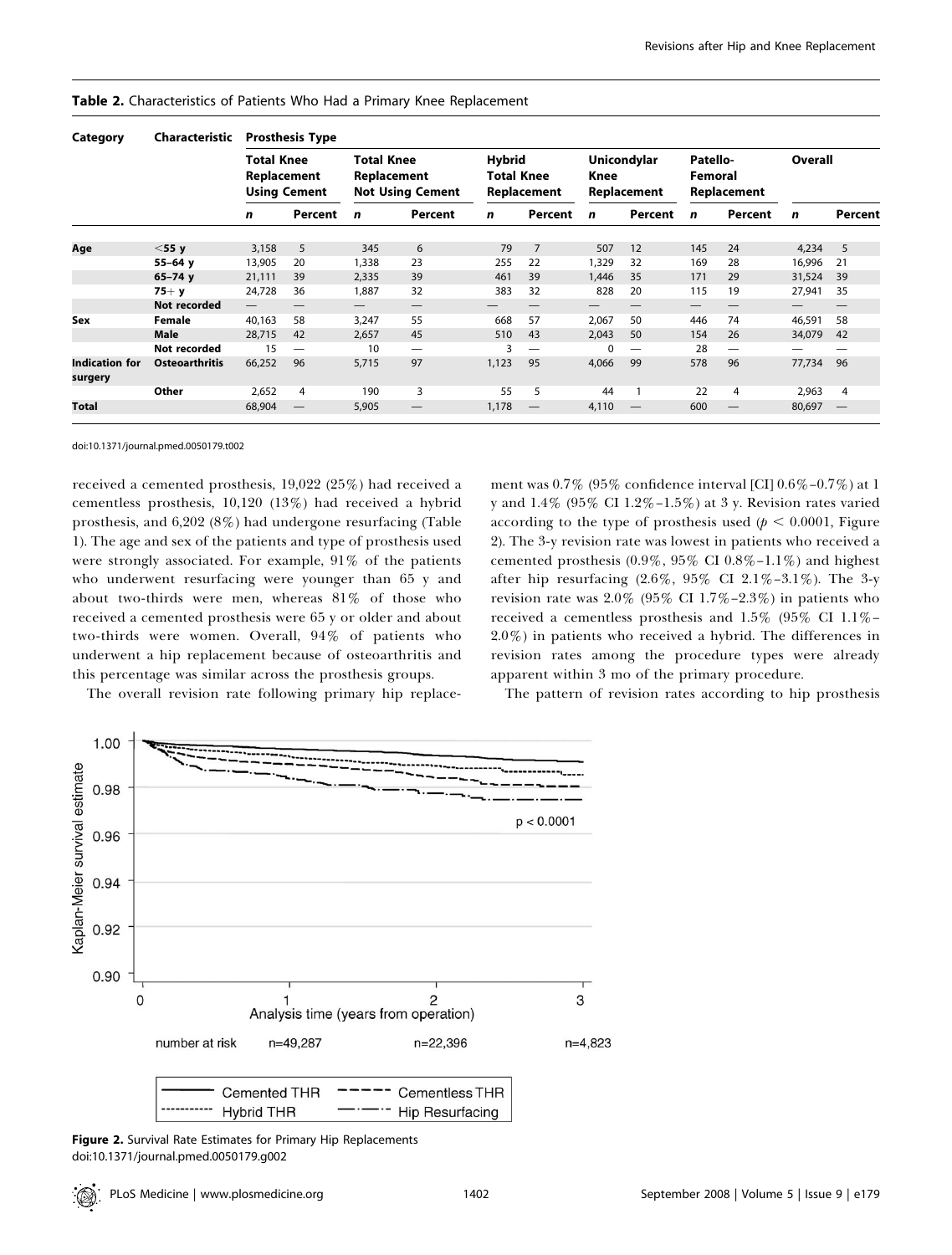| Category                         | Characteristic        | <b>Prosthesis Type</b>                                  |         |                                                             |         |                                                   |         |                                           |         |                                    |         |         |                          |
|----------------------------------|-----------------------|---------------------------------------------------------|---------|-------------------------------------------------------------|---------|---------------------------------------------------|---------|-------------------------------------------|---------|------------------------------------|---------|---------|--------------------------|
|                                  |                       | <b>Total Knee</b><br>Replacement<br><b>Using Cement</b> |         | <b>Total Knee</b><br>Replacement<br><b>Not Using Cement</b> |         | <b>Hybrid</b><br><b>Total Knee</b><br>Replacement |         | <b>Unicondylar</b><br>Knee<br>Replacement |         | Patello-<br>Femoral<br>Replacement |         | Overall |                          |
|                                  |                       | n                                                       | Percent | n                                                           | Percent | n                                                 | Percent | n                                         | Percent | n                                  | Percent | n       | Percent                  |
| Age                              | $<$ 55 y              | 3,158                                                   | 5       | 345                                                         | 6       | 79                                                | 7       | 507                                       | 12      | 145                                | 24      | 4,234   | 5                        |
|                                  | $55 - 64$ y           | 13,905                                                  | 20      | 1,338                                                       | 23      | 255                                               | 22      | 1,329                                     | 32      | 169                                | 28      | 16,996  | 21                       |
|                                  | $65 - 74$ y           | 21,111                                                  | 39      | 2,335                                                       | 39      | 461                                               | 39      | 1,446                                     | 35      | 171                                | 29      | 31,524  | 39                       |
|                                  | $75+ y$               | 24,728                                                  | 36      | 1,887                                                       | 32      | 383                                               | 32      | 828                                       | 20      | 115                                | 19      | 27,941  | 35                       |
|                                  | Not recorded          |                                                         |         | $\overline{\phantom{0}}$                                    |         |                                                   |         |                                           |         | —                                  |         |         |                          |
| Sex                              | Female                | 40,163                                                  | 58      | 3,247                                                       | 55      | 668                                               | 57      | 2,067                                     | 50      | 446                                | 74      | 46,591  | 58                       |
|                                  | Male                  | 28,715                                                  | 42      | 2,657                                                       | 45      | 510                                               | 43      | 2,043                                     | 50      | 154                                | 26      | 34,079  | 42                       |
|                                  | Not recorded          | 15                                                      |         | 10                                                          |         |                                                   |         | $\Omega$                                  |         | 28                                 | —       |         |                          |
| <b>Indication for</b><br>surgery | <b>Osteoarthritis</b> | 66,252                                                  | 96      | 5,715                                                       | 97      | 1,123                                             | 95      | 4,066                                     | 99      | 578                                | 96      | 77,734  | 96                       |
|                                  | Other                 | 2,652                                                   | 4       | 190                                                         | 3       | 55                                                | 5       | 44                                        | 1       | 22                                 | 4       | 2,963   | $\overline{4}$           |
| <b>Total</b>                     |                       | 68,904                                                  | —       | 5,905                                                       |         | 1,178                                             |         | 4,110                                     |         | 600                                |         | 80,697  | $\overline{\phantom{0}}$ |

Table 2. Characteristics of Patients Who Had a Primary Knee Replacement

doi:10.1371/journal.pmed.0050179.t002

received a cemented prosthesis, 19,022 (25%) had received a cementless prosthesis, 10,120 (13%) had received a hybrid prosthesis, and 6,202 (8%) had undergone resurfacing (Table 1). The age and sex of the patients and type of prosthesis used were strongly associated. For example, 91% of the patients who underwent resurfacing were younger than 65 y and about two-thirds were men, whereas 81% of those who received a cemented prosthesis were 65 y or older and about two-thirds were women. Overall, 94% of patients who underwent a hip replacement because of osteoarthritis and this percentage was similar across the prosthesis groups.

The overall revision rate following primary hip replace-

ment was 0.7% (95% confidence interval [CI] 0.6%–0.7%) at 1 y and 1.4% (95% CI 1.2%–1.5%) at 3 y. Revision rates varied according to the type of prosthesis used ( $p < 0.0001$ , Figure 2). The 3-y revision rate was lowest in patients who received a cemented prosthesis  $(0.9\%, 95\% \text{ CI } 0.8\% - 1.1\%)$  and highest after hip resurfacing (2.6%, 95% CI 2.1%–3.1%). The 3-y revision rate was  $2.0\%$  (95% CI 1.7%–2.3%) in patients who received a cementless prosthesis and 1.5% (95% CI 1.1%– 2.0%) in patients who received a hybrid. The differences in revision rates among the procedure types were already apparent within 3 mo of the primary procedure.

The pattern of revision rates according to hip prosthesis



Figure 2. Survival Rate Estimates for Primary Hip Replacements doi:10.1371/journal.pmed.0050179.g002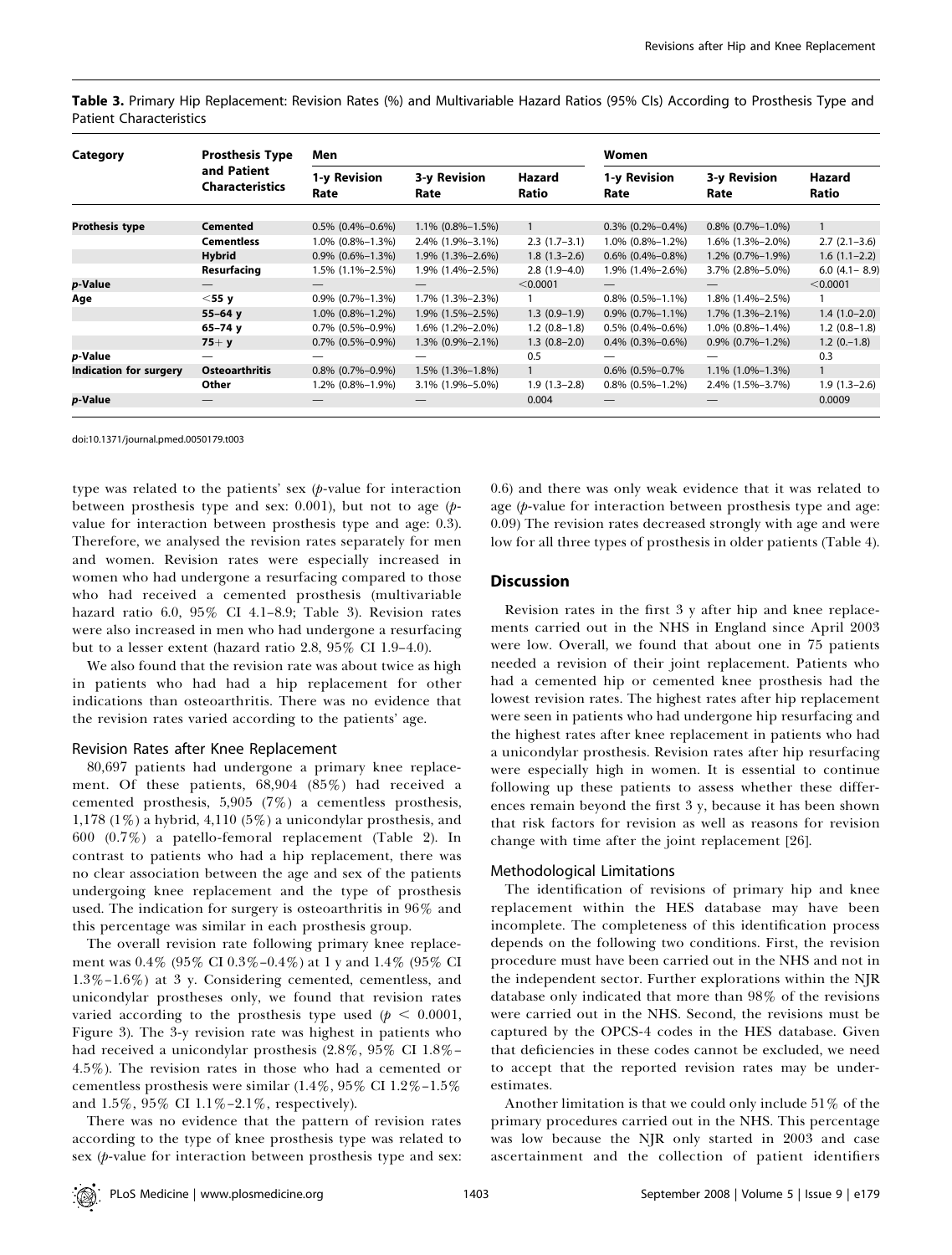|                                |  |  |  |  |  | Table 3. Primary Hip Replacement: Revision Rates (%) and Multivariable Hazard Ratios (95% Cls) According to Prosthesis Type and |  |
|--------------------------------|--|--|--|--|--|---------------------------------------------------------------------------------------------------------------------------------|--|
| <b>Patient Characteristics</b> |  |  |  |  |  |                                                                                                                                 |  |

| Category                      | <b>Prosthesis Type</b>                | Men                  |                      |                 | Women                |                      |                   |  |
|-------------------------------|---------------------------------------|----------------------|----------------------|-----------------|----------------------|----------------------|-------------------|--|
|                               | and Patient<br><b>Characteristics</b> | 1-y Revision<br>Rate | 3-y Revision<br>Rate | Hazard<br>Ratio | 1-y Revision<br>Rate | 3-y Revision<br>Rate | Hazard<br>Ratio   |  |
| <b>Prothesis type</b>         | <b>Cemented</b>                       | $0.5\%$ (0.4%-0.6%)  | $1.1\%$ (0.8%-1.5%)  | $\mathbf{1}$    | $0.3\%$ (0.2%-0.4%)  | $0.8\%$ (0.7%-1.0%)  | $\mathbf{1}$      |  |
|                               | <b>Cementless</b>                     | $1.0\%$ (0.8%-1.3%)  | 2.4% (1.9%-3.1%)     | $2.3(1.7-3.1)$  | $1.0\%$ (0.8%-1.2%)  | $1.6\%$ (1.3%-2.0%)  | $2.7(2.1-3.6)$    |  |
|                               | <b>Hybrid</b>                         | $0.9\%$ (0.6%-1.3%)  | 1.9% (1.3%-2.6%)     | $1.8(1.3-2.6)$  | $0.6\%$ (0.4%-0.8%)  | $1.2\%$ (0.7%-1.9%)  | $1.6(1.1-2.2)$    |  |
|                               | Resurfacing                           | 1.5% (1.1%–2.5%)     | 1.9% (1.4%-2.5%)     | $2.8(1.9-4.0)$  | 1.9% (1.4%-2.6%)     | 3.7% (2.8%-5.0%)     | $6.0$ (4.1 - 8.9) |  |
| p-Value                       |                                       |                      |                      | < 0.0001        |                      |                      | < 0.0001          |  |
| Age                           | $<$ 55 $y$                            | $0.9\%$ (0.7%-1.3%)  | $1.7\%$ (1.3%-2.3%)  |                 | $0.8\%$ (0.5%-1.1%)  | 1.8% (1.4%-2.5%)     |                   |  |
|                               | $55 - 64$ y                           | $1.0\%$ (0.8%-1.2%)  | $1.9\%$ (1.5%-2.5%)  | $1.3(0.9-1.9)$  | $0.9\%$ (0.7%-1.1%)  | $1.7\%$ (1.3%-2.1%)  | $1.4(1.0-2.0)$    |  |
|                               | $65 - 74$ y                           | $0.7\%$ (0.5%-0.9%)  | 1.6% (1.2%-2.0%)     | $1.2(0.8-1.8)$  | $0.5\%$ (0.4%-0.6%)  | $1.0\%$ (0.8%-1.4%)  | $1.2(0.8-1.8)$    |  |
|                               | $75+ y$                               | $0.7\%$ (0.5%-0.9%)  | $1.3\%$ (0.9%-2.1%)  | $1.3(0.8-2.0)$  | $0.4\%$ (0.3%-0.6%)  | $0.9\%$ (0.7%-1.2%)  | $1.2(0,-1.8)$     |  |
| p-Value                       |                                       |                      |                      | 0.5             |                      |                      | 0.3               |  |
| <b>Indication for surgery</b> | <b>Osteoarthritis</b>                 | $0.8\%$ (0.7%-0.9%)  | $1.5\%$ (1.3%-1.8%)  |                 | $0.6\%$ (0.5%-0.7%   | $1.1\%$ (1.0%-1.3%)  | $\mathbf{1}$      |  |
|                               | Other                                 | 1.2% (0.8%-1.9%)     | 3.1% (1.9%-5.0%)     | $1.9(1.3-2.8)$  | $0.8\%$ (0.5%-1.2%)  | 2.4% (1.5%-3.7%)     | $1.9(1.3-2.6)$    |  |
| p-Value                       |                                       |                      |                      | 0.004           |                      |                      | 0.0009            |  |

doi:10.1371/journal.pmed.0050179.t003

type was related to the patients' sex  $(p$ -value for interaction between prosthesis type and sex:  $0.001$ ), but not to age ( $p$ value for interaction between prosthesis type and age: 0.3). Therefore, we analysed the revision rates separately for men and women. Revision rates were especially increased in women who had undergone a resurfacing compared to those who had received a cemented prosthesis (multivariable hazard ratio 6.0, 95% CI 4.1–8.9; Table 3). Revision rates were also increased in men who had undergone a resurfacing but to a lesser extent (hazard ratio 2.8, 95% CI 1.9–4.0).

We also found that the revision rate was about twice as high in patients who had had a hip replacement for other indications than osteoarthritis. There was no evidence that the revision rates varied according to the patients' age.

#### Revision Rates after Knee Replacement

80,697 patients had undergone a primary knee replacement. Of these patients, 68,904 (85%) had received a cemented prosthesis,  $5,905$  (7%) a cementless prosthesis, 1,178 (1%) a hybrid, 4,110 (5%) a unicondylar prosthesis, and 600 (0.7%) a patello-femoral replacement (Table 2). In contrast to patients who had a hip replacement, there was no clear association between the age and sex of the patients undergoing knee replacement and the type of prosthesis used. The indication for surgery is osteoarthritis in 96% and this percentage was similar in each prosthesis group.

The overall revision rate following primary knee replacement was 0.4% (95% CI 0.3%–0.4%) at 1 y and 1.4% (95% CI 1.3%–1.6%) at 3 y. Considering cemented, cementless, and unicondylar prostheses only, we found that revision rates varied according to the prosthesis type used ( $p < 0.0001$ , Figure 3). The 3-y revision rate was highest in patients who had received a unicondylar prosthesis (2.8%, 95% CI 1.8%– 4.5%). The revision rates in those who had a cemented or cementless prosthesis were similar (1.4%, 95% CI 1.2%–1.5% and 1.5%, 95% CI 1.1%–2.1%, respectively).

There was no evidence that the pattern of revision rates according to the type of knee prosthesis type was related to sex  $(p$ -value for interaction between prosthesis type and sex: 0.6) and there was only weak evidence that it was related to age (p-value for interaction between prosthesis type and age: 0.09) The revision rates decreased strongly with age and were low for all three types of prosthesis in older patients (Table 4).

## **Discussion**

Revision rates in the first 3 y after hip and knee replacements carried out in the NHS in England since April 2003 were low. Overall, we found that about one in 75 patients needed a revision of their joint replacement. Patients who had a cemented hip or cemented knee prosthesis had the lowest revision rates. The highest rates after hip replacement were seen in patients who had undergone hip resurfacing and the highest rates after knee replacement in patients who had a unicondylar prosthesis. Revision rates after hip resurfacing were especially high in women. It is essential to continue following up these patients to assess whether these differences remain beyond the first 3 y, because it has been shown that risk factors for revision as well as reasons for revision change with time after the joint replacement [26].

#### Methodological Limitations

The identification of revisions of primary hip and knee replacement within the HES database may have been incomplete. The completeness of this identification process depends on the following two conditions. First, the revision procedure must have been carried out in the NHS and not in the independent sector. Further explorations within the NJR database only indicated that more than 98% of the revisions were carried out in the NHS. Second, the revisions must be captured by the OPCS-4 codes in the HES database. Given that deficiencies in these codes cannot be excluded, we need to accept that the reported revision rates may be underestimates.

Another limitation is that we could only include 51% of the primary procedures carried out in the NHS. This percentage was low because the NJR only started in 2003 and case ascertainment and the collection of patient identifiers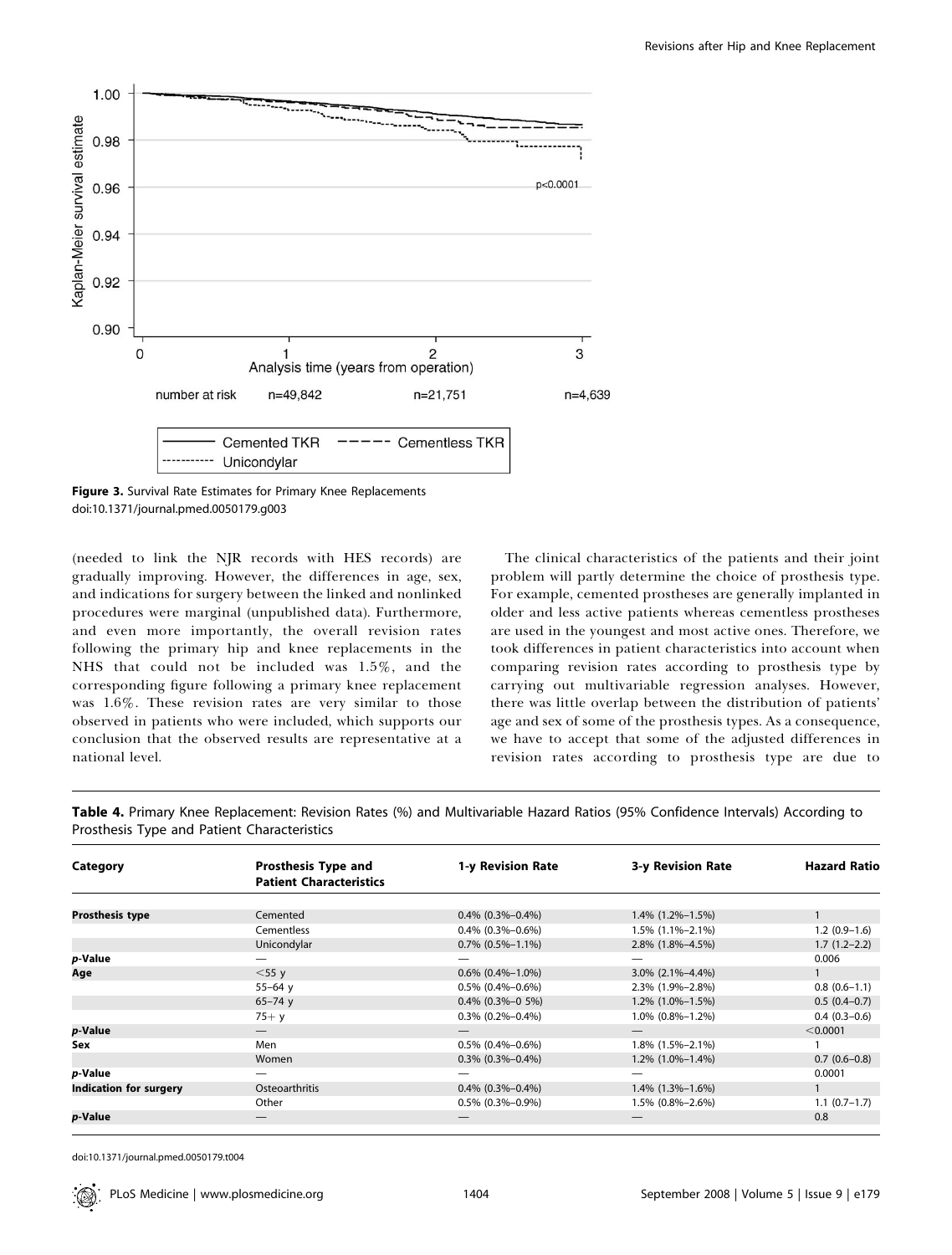

Figure 3. Survival Rate Estimates for Primary Knee Replacements doi:10.1371/journal.pmed.0050179.g003

(needed to link the NJR records with HES records) are gradually improving. However, the differences in age, sex, and indications for surgery between the linked and nonlinked procedures were marginal (unpublished data). Furthermore, and even more importantly, the overall revision rates following the primary hip and knee replacements in the NHS that could not be included was 1.5%, and the corresponding figure following a primary knee replacement was 1.6%. These revision rates are very similar to those observed in patients who were included, which supports our conclusion that the observed results are representative at a national level.

The clinical characteristics of the patients and their joint problem will partly determine the choice of prosthesis type. For example, cemented prostheses are generally implanted in older and less active patients whereas cementless prostheses are used in the youngest and most active ones. Therefore, we took differences in patient characteristics into account when comparing revision rates according to prosthesis type by carrying out multivariable regression analyses. However, there was little overlap between the distribution of patients' age and sex of some of the prosthesis types. As a consequence, we have to accept that some of the adjusted differences in revision rates according to prosthesis type are due to

| Category                      | <b>Prosthesis Type and</b>     | 1-y Revision Rate                          | 3-y Revision Rate                          | <b>Hazard Ratio</b> |
|-------------------------------|--------------------------------|--------------------------------------------|--------------------------------------------|---------------------|
|                               | <b>Patient Characteristics</b> |                                            |                                            |                     |
|                               |                                |                                            |                                            |                     |
| <b>Prosthesis type</b>        | Cemented<br>Cementless         | $0.4\%$ (0.3%-0.4%)<br>$0.4\%$ (0.3%-0.6%) | $1.4\%$ (1.2%-1.5%)<br>$1.5\%$ (1.1%-2.1%) | $1.2(0.9-1.6)$      |
|                               | Unicondylar                    | $0.7\%$ (0.5%-1.1%)                        | 2.8% (1.8%-4.5%)                           | $1.7(1.2-2.2)$      |
| p-Value                       |                                |                                            |                                            | 0.006               |
| Age                           | $<$ 55 $y$                     | $0.6\%$ (0.4%-1.0%)                        | $3.0\%$ (2.1%-4.4%)                        |                     |
|                               | $55 - 64$ y                    | $0.5\%$ (0.4%-0.6%)                        | 2.3% (1.9%-2.8%)                           | $0.8(0.6-1.1)$      |
|                               | $65 - 74$ y                    | $0.4\%$ (0.3%-0 5%)                        | $1.2\%$ (1.0%-1.5%)                        | $0.5(0.4-0.7)$      |
|                               | $75+ y$                        | $0.3\%$ (0.2%-0.4%)                        | $1.0\%$ (0.8%-1.2%)                        | $0.4(0.3-0.6)$      |
| p-Value                       |                                |                                            |                                            | < 0.0001            |
| Sex                           | Men                            | $0.5\%$ (0.4%-0.6%)                        | $1.8\%$ (1.5%-2.1%)                        |                     |
|                               | Women                          | $0.3\%$ (0.3%-0.4%)                        | $1.2\%$ (1.0%-1.4%)                        | $0.7(0.6-0.8)$      |
| p-Value                       |                                |                                            |                                            | 0.0001              |
| <b>Indication for surgery</b> | Osteoarthritis                 | $0.4\%$ (0.3%-0.4%)                        | $1.4\%$ (1.3%-1.6%)                        |                     |
|                               | Other                          | $0.5\%$ (0.3%-0.9%)                        | 1.5% (0.8%-2.6%)                           | $1.1(0.7-1.7)$      |
| p-Value                       |                                |                                            |                                            | 0.8                 |

Table 4. Primary Knee Replacement: Revision Rates (%) and Multivariable Hazard Ratios (95% Confidence Intervals) According to Prosthesis Type and Patient Characteristics

doi:10.1371/journal.pmed.0050179.t004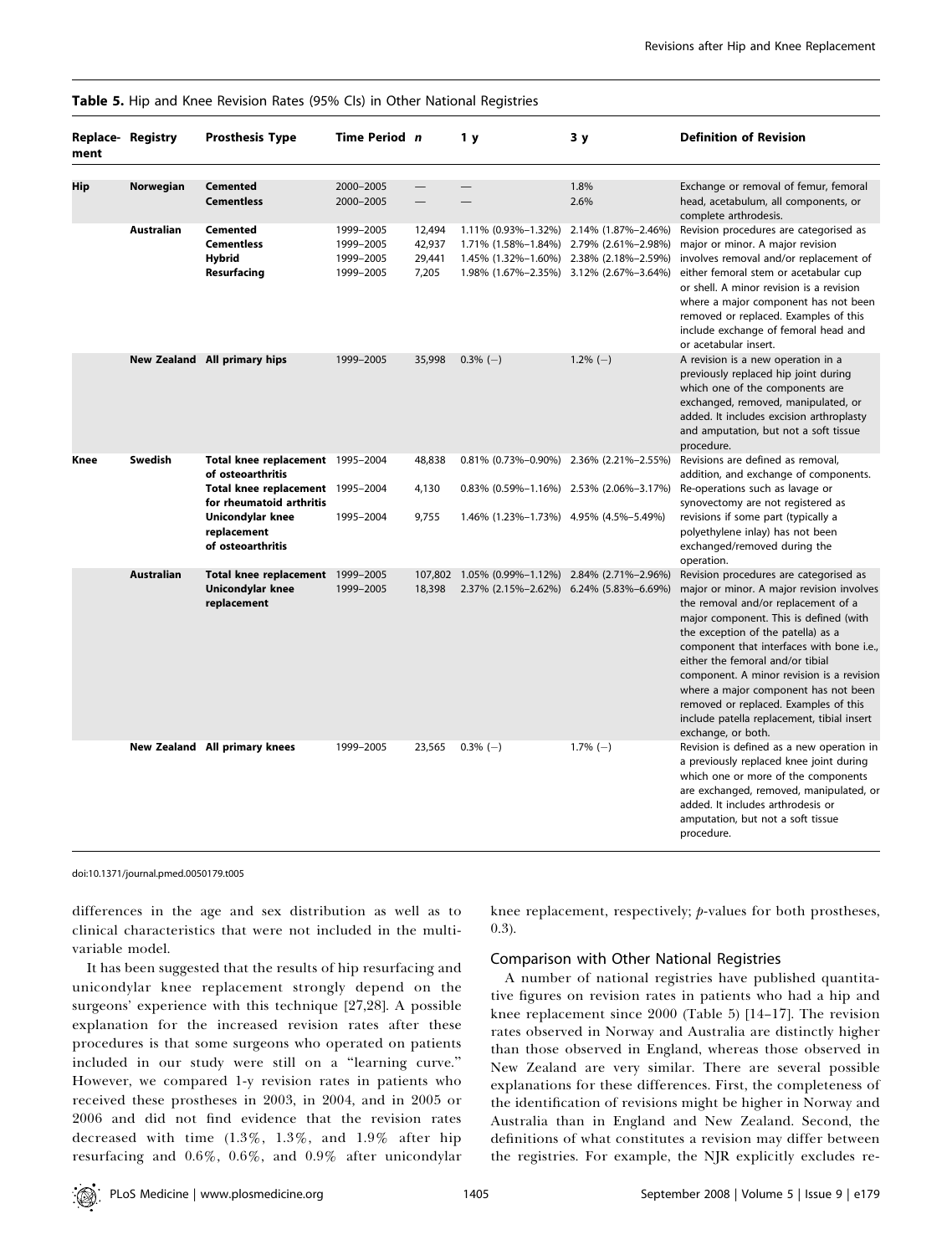| Table 5. Hip and Knee Revision Rates (95% Cls) in Other National Registries |  |  |
|-----------------------------------------------------------------------------|--|--|
|-----------------------------------------------------------------------------|--|--|

| Replace-Registry<br>ment |                   | <b>Prosthesis Type</b>                                                                                                                                                        | Time Period n                                    |                                     | 1у                                                                                                                               | 3у                                         | <b>Definition of Revision</b>                                                                                                                                                                                                                                                                                                                                                                                                                                                                 |
|--------------------------|-------------------|-------------------------------------------------------------------------------------------------------------------------------------------------------------------------------|--------------------------------------------------|-------------------------------------|----------------------------------------------------------------------------------------------------------------------------------|--------------------------------------------|-----------------------------------------------------------------------------------------------------------------------------------------------------------------------------------------------------------------------------------------------------------------------------------------------------------------------------------------------------------------------------------------------------------------------------------------------------------------------------------------------|
| Hip                      | Norwegian         | <b>Cemented</b><br><b>Cementless</b>                                                                                                                                          | 2000-2005<br>2000-2005                           |                                     | $\overline{\phantom{0}}$                                                                                                         | 1.8%<br>2.6%                               | Exchange or removal of femur, femoral<br>head, acetabulum, all components, or<br>complete arthrodesis.                                                                                                                                                                                                                                                                                                                                                                                        |
|                          | <b>Australian</b> | <b>Cemented</b><br><b>Cementless</b><br><b>Hybrid</b><br>Resurfacing                                                                                                          | 1999-2005<br>1999-2005<br>1999-2005<br>1999-2005 | 12,494<br>42,937<br>29,441<br>7,205 | 1.11% (0.93%-1.32%)<br>1.71% (1.58%-1.84%)<br>1.45% (1.32%-1.60%) 2.38% (2.18%-2.59%)<br>1.98% (1.67%-2.35%) 3.12% (2.67%-3.64%) | 2.14% (1.87%-2.46%)<br>2.79% (2.61%-2.98%) | Revision procedures are categorised as<br>major or minor. A major revision<br>involves removal and/or replacement of<br>either femoral stem or acetabular cup<br>or shell. A minor revision is a revision<br>where a major component has not been<br>removed or replaced. Examples of this<br>include exchange of femoral head and<br>or acetabular insert.                                                                                                                                   |
|                          |                   | New Zealand All primary hips                                                                                                                                                  | 1999-2005                                        | 35,998                              | $0.3\%$ (-)                                                                                                                      | $1.2\%$ (-)                                | A revision is a new operation in a<br>previously replaced hip joint during<br>which one of the components are<br>exchanged, removed, manipulated, or<br>added. It includes excision arthroplasty<br>and amputation, but not a soft tissue<br>procedure.                                                                                                                                                                                                                                       |
| Knee                     | Swedish           | Total knee replacement 1995-2004<br>of osteoarthritis<br>Total knee replacement 1995-2004<br>for rheumatoid arthritis<br>Unicondylar knee<br>replacement<br>of osteoarthritis | 1995-2004                                        | 48,838<br>4,130<br>9,755            | 0.81% (0.73%-0.90%) 2.36% (2.21%-2.55%)<br>$0.83\%$ (0.59%-1.16%) 2.53% (2.06%-3.17%)<br>1.46% (1.23%-1.73%) 4.95% (4.5%-5.49%)  |                                            | Revisions are defined as removal,<br>addition, and exchange of components.<br>Re-operations such as lavage or<br>synovectomy are not registered as<br>revisions if some part (typically a<br>polyethylene inlay) has not been<br>exchanged/removed during the<br>operation.                                                                                                                                                                                                                   |
|                          | <b>Australian</b> | Total knee replacement 1999-2005<br>Unicondylar knee<br>replacement                                                                                                           | 1999-2005                                        | 18,398                              | 107,802 1.05% (0.99%-1.12%) 2.84% (2.71%-2.96%)<br>2.37% (2.15%-2.62%) 6.24% (5.83%-6.69%)                                       |                                            | Revision procedures are categorised as<br>major or minor. A major revision involves<br>the removal and/or replacement of a<br>major component. This is defined (with<br>the exception of the patella) as a<br>component that interfaces with bone i.e.,<br>either the femoral and/or tibial<br>component. A minor revision is a revision<br>where a major component has not been<br>removed or replaced. Examples of this<br>include patella replacement, tibial insert<br>exchange, or both. |
|                          |                   | New Zealand All primary knees                                                                                                                                                 | 1999-2005                                        | 23,565                              | $0.3\%$ (-)                                                                                                                      | $1.7\%$ (-)                                | Revision is defined as a new operation in<br>a previously replaced knee joint during<br>which one or more of the components<br>are exchanged, removed, manipulated, or<br>added. It includes arthrodesis or<br>amputation, but not a soft tissue<br>procedure.                                                                                                                                                                                                                                |

doi:10.1371/journal.pmed.0050179.t005

differences in the age and sex distribution as well as to clinical characteristics that were not included in the multivariable model.

It has been suggested that the results of hip resurfacing and unicondylar knee replacement strongly depend on the surgeons' experience with this technique [27,28]. A possible explanation for the increased revision rates after these procedures is that some surgeons who operated on patients included in our study were still on a ''learning curve.'' However, we compared 1-y revision rates in patients who received these prostheses in 2003, in 2004, and in 2005 or 2006 and did not find evidence that the revision rates decreased with time (1.3%, 1.3%, and 1.9% after hip resurfacing and 0.6%, 0.6%, and 0.9% after unicondylar knee replacement, respectively; p-values for both prostheses, 0.3).

## Comparison with Other National Registries

A number of national registries have published quantitative figures on revision rates in patients who had a hip and knee replacement since 2000 (Table 5) [14–17]. The revision rates observed in Norway and Australia are distinctly higher than those observed in England, whereas those observed in New Zealand are very similar. There are several possible explanations for these differences. First, the completeness of the identification of revisions might be higher in Norway and Australia than in England and New Zealand. Second, the definitions of what constitutes a revision may differ between the registries. For example, the NJR explicitly excludes re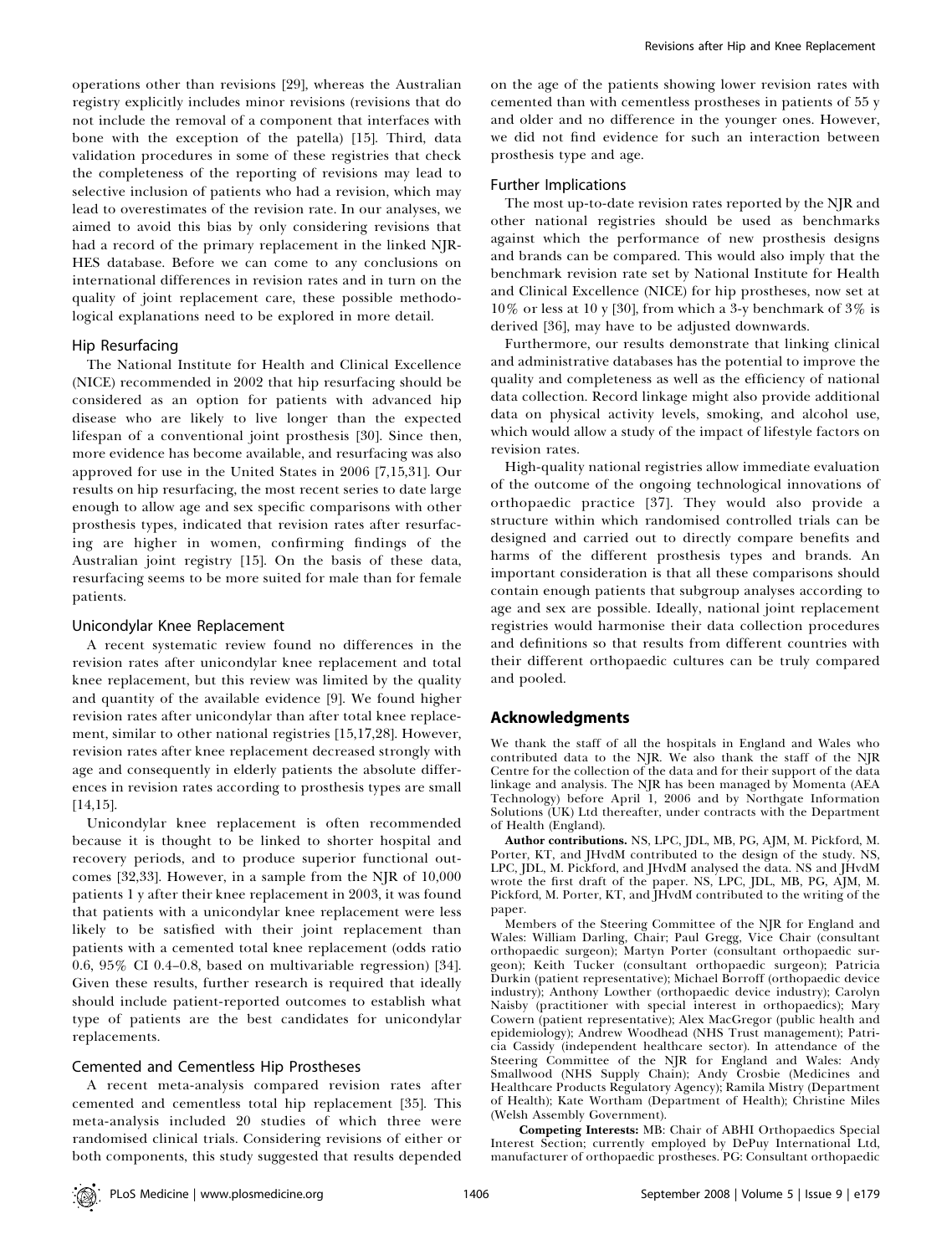operations other than revisions [29], whereas the Australian registry explicitly includes minor revisions (revisions that do not include the removal of a component that interfaces with bone with the exception of the patella) [15]. Third, data validation procedures in some of these registries that check the completeness of the reporting of revisions may lead to selective inclusion of patients who had a revision, which may lead to overestimates of the revision rate. In our analyses, we aimed to avoid this bias by only considering revisions that had a record of the primary replacement in the linked NJR-HES database. Before we can come to any conclusions on international differences in revision rates and in turn on the quality of joint replacement care, these possible methodological explanations need to be explored in more detail.

#### Hip Resurfacing

The National Institute for Health and Clinical Excellence (NICE) recommended in 2002 that hip resurfacing should be considered as an option for patients with advanced hip disease who are likely to live longer than the expected lifespan of a conventional joint prosthesis [30]. Since then, more evidence has become available, and resurfacing was also approved for use in the United States in 2006 [7,15,31]. Our results on hip resurfacing, the most recent series to date large enough to allow age and sex specific comparisons with other prosthesis types, indicated that revision rates after resurfacing are higher in women, confirming findings of the Australian joint registry [15]. On the basis of these data, resurfacing seems to be more suited for male than for female patients.

#### Unicondylar Knee Replacement

A recent systematic review found no differences in the revision rates after unicondylar knee replacement and total knee replacement, but this review was limited by the quality and quantity of the available evidence [9]. We found higher revision rates after unicondylar than after total knee replacement, similar to other national registries [15,17,28]. However, revision rates after knee replacement decreased strongly with age and consequently in elderly patients the absolute differences in revision rates according to prosthesis types are small [14,15].

Unicondylar knee replacement is often recommended because it is thought to be linked to shorter hospital and recovery periods, and to produce superior functional outcomes [32,33]. However, in a sample from the NJR of 10,000 patients 1 y after their knee replacement in 2003, it was found that patients with a unicondylar knee replacement were less likely to be satisfied with their joint replacement than patients with a cemented total knee replacement (odds ratio 0.6, 95% CI 0.4–0.8, based on multivariable regression) [34]. Given these results, further research is required that ideally should include patient-reported outcomes to establish what type of patients are the best candidates for unicondylar replacements.

## Cemented and Cementless Hip Prostheses

A recent meta-analysis compared revision rates after cemented and cementless total hip replacement [35]. This meta-analysis included 20 studies of which three were randomised clinical trials. Considering revisions of either or both components, this study suggested that results depended on the age of the patients showing lower revision rates with cemented than with cementless prostheses in patients of 55 y and older and no difference in the younger ones. However, we did not find evidence for such an interaction between prosthesis type and age.

## Further Implications

The most up-to-date revision rates reported by the NJR and other national registries should be used as benchmarks against which the performance of new prosthesis designs and brands can be compared. This would also imply that the benchmark revision rate set by National Institute for Health and Clinical Excellence (NICE) for hip prostheses, now set at 10% or less at 10 y [30], from which a 3-y benchmark of 3% is derived [36], may have to be adjusted downwards.

Furthermore, our results demonstrate that linking clinical and administrative databases has the potential to improve the quality and completeness as well as the efficiency of national data collection. Record linkage might also provide additional data on physical activity levels, smoking, and alcohol use, which would allow a study of the impact of lifestyle factors on revision rates.

High-quality national registries allow immediate evaluation of the outcome of the ongoing technological innovations of orthopaedic practice [37]. They would also provide a structure within which randomised controlled trials can be designed and carried out to directly compare benefits and harms of the different prosthesis types and brands. An important consideration is that all these comparisons should contain enough patients that subgroup analyses according to age and sex are possible. Ideally, national joint replacement registries would harmonise their data collection procedures and definitions so that results from different countries with their different orthopaedic cultures can be truly compared and pooled.

# Acknowledgments

We thank the staff of all the hospitals in England and Wales who contributed data to the NJR. We also thank the staff of the NJR Centre for the collection of the data and for their support of the data linkage and analysis. The NJR has been managed by Momenta (AEA Technology) before April 1, 2006 and by Northgate Information Solutions (UK) Ltd thereafter, under contracts with the Department of Health (England).

Author contributions. NS, LPC, JDL, MB, PG, AJM, M. Pickford, M. Porter, KT, and JHvdM contributed to the design of the study. NS, LPC, JDL, M. Pickford, and JHvdM analysed the data. NS and JHvdM wrote the first draft of the paper. NS, LPC, JDL, MB, PG, AJM, M. Pickford, M. Porter, KT, and HvdM contributed to the writing of the paper.

Members of the Steering Committee of the NJR for England and Wales: William Darling, Chair; Paul Gregg, Vice Chair (consultant orthopaedic surgeon); Martyn Porter (consultant orthopaedic surgeon); Keith Tucker (consultant orthopaedic surgeon); Patricia Durkin (patient representative); Michael Borroff (orthopaedic device industry); Anthony Lowther (orthopaedic device industry); Carolyn Naisby (practitioner with special interest in orthopaedics); Mary Cowern (patient representative); Alex MacGregor (public health and epidemiology); Andrew Woodhead (NHS Trust management); Patricia Cassidy (independent healthcare sector). In attendance of the Steering Committee of the NJR for England and Wales: Andy Smallwood (NHS Supply Chain); Andy Crosbie (Medicines and Healthcare Products Regulatory Agency); Ramila Mistry (Department of Health); Kate Wortham (Department of Health); Christine Miles (Welsh Assembly Government).

Competing Interests: MB: Chair of ABHI Orthopaedics Special Interest Section; currently employed by DePuy International Ltd, manufacturer of orthopaedic prostheses. PG: Consultant orthopaedic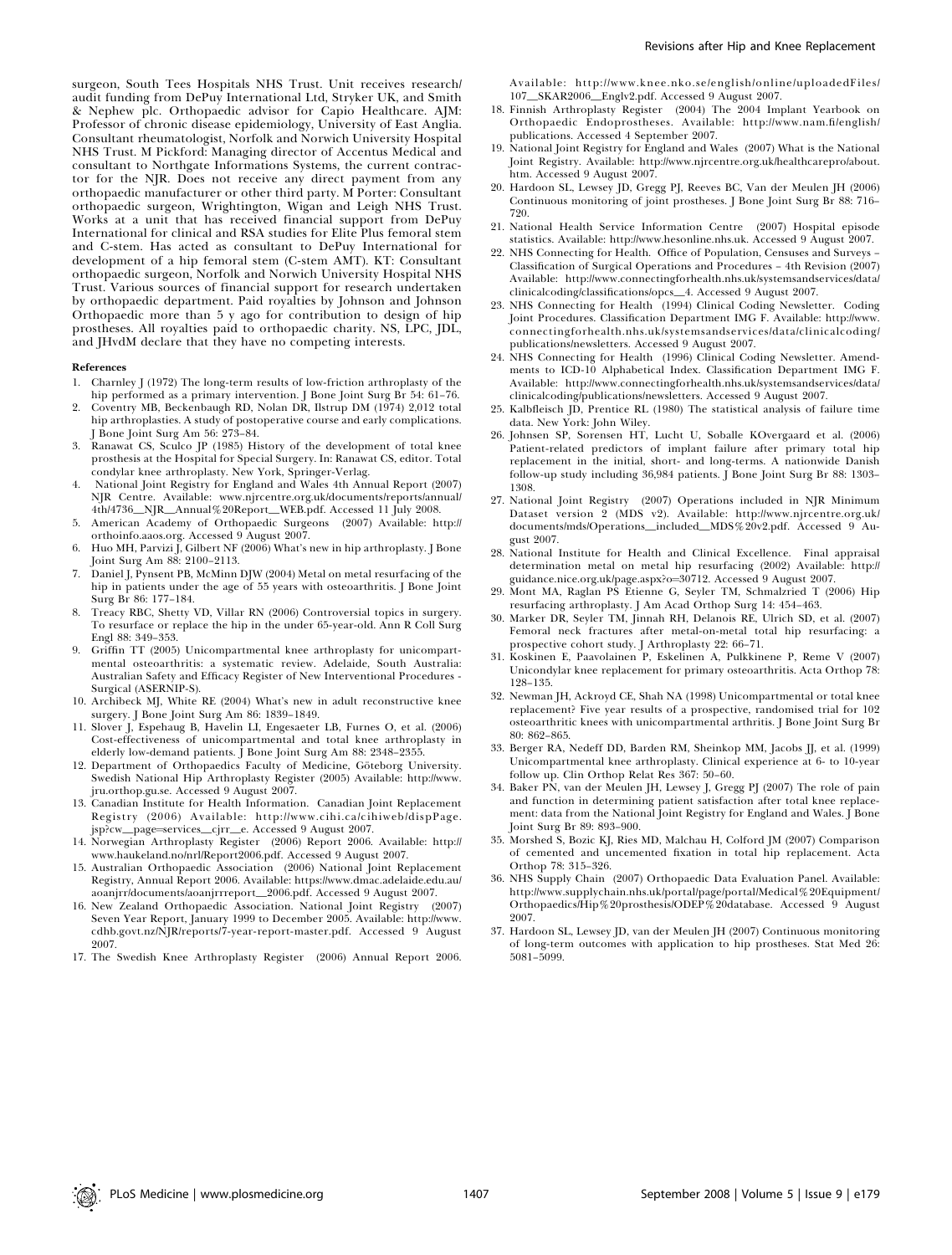surgeon, South Tees Hospitals NHS Trust. Unit receives research/ audit funding from DePuy International Ltd, Stryker UK, and Smith & Nephew plc. Orthopaedic advisor for Capio Healthcare. AJM: Professor of chronic disease epidemiology, University of East Anglia. Consultant rheumatologist, Norfolk and Norwich University Hospital NHS Trust. M Pickford: Managing director of Accentus Medical and consultant to Northgate Informations Systems, the current contractor for the NJR. Does not receive any direct payment from any orthopaedic manufacturer or other third party. M Porter: Consultant orthopaedic surgeon, Wrightington, Wigan and Leigh NHS Trust. Works at a unit that has received financial support from DePuy International for clinical and RSA studies for Elite Plus femoral stem and C-stem. Has acted as consultant to DePuy International for development of a hip femoral stem (C-stem AMT). KT: Consultant orthopaedic surgeon, Norfolk and Norwich University Hospital NHS Trust. Various sources of financial support for research undertaken by orthopaedic department. Paid royalties by Johnson and Johnson Orthopaedic more than 5 y ago for contribution to design of hip prostheses. All royalties paid to orthopaedic charity. NS, LPC, JDL, and JHvdM declare that they have no competing interests.

#### References

- 1. Charnley J (1972) The long-term results of low-friction arthroplasty of the hip performed as a primary intervention. J Bone Joint Surg Br 54: 61–76.
- 2. Coventry MB, Beckenbaugh RD, Nolan DR, Ilstrup DM (1974) 2,012 total hip arthroplasties. A study of postoperative course and early complications. J Bone Joint Surg Am 56: 273–84.
- 3. Ranawat CS, Sculco JP (1985) History of the development of total knee prosthesis at the Hospital for Special Surgery. In: Ranawat CS, editor. Total condylar knee arthroplasty. New York, Springer-Verlag.
- National Joint Registry for England and Wales 4th Annual Report (2007) NJR Centre. Available: www.njrcentre.org.uk/documents/reports/annual/ 4th/4736\_NJR\_Annual%20Report\_WEB.pdf. Accessed 11 July 2008.
- 5. American Academy of Orthopaedic Surgeons (2007) Available: http:// orthoinfo.aaos.org. Accessed 9 August 2007.
- 6. Huo MH, Parvizi J, Gilbert NF (2006) What's new in hip arthroplasty. J Bone Joint Surg Am 88: 2100–2113.
- 7. Daniel J, Pynsent PB, McMinn DJW (2004) Metal on metal resurfacing of the hip in patients under the age of 55 years with osteoarthritis. J Bone Joint Surg Br 86: 177–184.
- 8. Treacy RBC, Shetty VD, Villar RN (2006) Controversial topics in surgery. To resurface or replace the hip in the under 65-year-old. Ann R Coll Surg Engl 88: 349–353.
- 9. Griffin TT (2005) Unicompartmental knee arthroplasty for unicompartmental osteoarthritis: a systematic review. Adelaide, South Australia: Australian Safety and Efficacy Register of New Interventional Procedures - Surgical (ASERNIP-S).
- 10. Archibeck MJ, White RE (2004) What's new in adult reconstructive knee surgery. J Bone Joint Surg Am 86: 1839–1849.
- 11. Slover J, Espehaug B, Havelin LI, Engesaeter LB, Furnes O, et al. (2006) Cost-effectiveness of unicompartmental and total knee arthroplasty in elderly low-demand patients. J Bone Joint Surg Am 88: 2348–2355.
- 12. Department of Orthopaedics Faculty of Medicine, Göteborg University. Swedish National Hip Arthroplasty Register (2005) Available: http://www. jru.orthop.gu.se. Accessed 9 August 2007.
- 13. Canadian Institute for Health Information. Canadian Joint Replacement Registry (2006) Available: http://www.cihi.ca/cihiweb/dispPage. jsp?cw\_page¼services\_cjrr\_e. Accessed 9 August 2007.
- 14. Norwegian Arthroplasty Register (2006) Report 2006. Available: http:// www.haukeland.no/nrl/Report2006.pdf. Accessed 9 August 2007.
- 15. Australian Orthopaedic Association (2006) National Joint Replacement Registry, Annual Report 2006. Available: https://www.dmac.adelaide.edu.au/ aoanjrr/documents/aoanjrrreport\_2006.pdf. Accessed 9 August 2007.
- 16. New Zealand Orthopaedic Association. National Joint Registry (2007) Seven Year Report, January 1999 to December 2005. Available: http://www. cdhb.govt.nz/NJR/reports/7-year-report-master.pdf. Accessed 9 August 2007.
- 17. The Swedish Knee Arthroplasty Register (2006) Annual Report 2006.

Available: http://www.knee.nko.se/english/online/uploadedFiles/ 107\_SKAR2006\_Englv2.pdf. Accessed 9 August 2007.

- 18. Finnish Arthroplasty Register (2004) The 2004 Implant Yearbook on Orthopaedic Endoprostheses. Available: http://www.nam.fi/english/ publications. Accessed 4 September 2007.
- 19. National Joint Registry for England and Wales (2007) What is the National Joint Registry. Available: http://www.njrcentre.org.uk/healthcarepro/about. htm. Accessed 9 August 2007.
- 20. Hardoon SL, Lewsey JD, Gregg PJ, Reeves BC, Van der Meulen JH (2006) Continuous monitoring of joint prostheses. J Bone Joint Surg Br 88: 716– 720.
- 21. National Health Service Information Centre (2007) Hospital episode statistics. Available: http://www.hesonline.nhs.uk. Accessed 9 August 2007.
- 22. NHS Connecting for Health. Office of Population, Censuses and Surveys Classification of Surgical Operations and Procedures – 4th Revision (2007) Available: http://www.connectingforhealth.nhs.uk/systemsandservices/data/ clinicalcoding/classifications/opcs\_4. Accessed 9 August 2007.
- 23. NHS Connecting for Health (1994) Clinical Coding Newsletter. Coding Joint Procedures. Classification Department IMG F. Available: http://www. connectingforhealth.nhs.uk/systemsandservices/data/clinicalcoding/ publications/newsletters. Accessed 9 August 2007.
- 24. NHS Connecting for Health (1996) Clinical Coding Newsletter. Amendments to ICD-10 Alphabetical Index. Classification Department IMG F. Available: http://www.connectingforhealth.nhs.uk/systemsandservices/data/ clinicalcoding/publications/newsletters. Accessed 9 August 2007.
- 25. Kalbfleisch JD, Prentice RL (1980) The statistical analysis of failure time data. New York: John Wiley.
- 26. Johnsen SP, Sorensen HT, Lucht U, Soballe KOvergaard et al. (2006) Patient-related predictors of implant failure after primary total hip replacement in the initial, short- and long-terms. A nationwide Danish follow-up study including 36,984 patients. J Bone Joint Surg Br 88: 1303– 1308.
- 27. National Joint Registry (2007) Operations included in NJR Minimum Dataset version 2 (MDS v2). Available: http://www.njrcentre.org.uk/ documents/mds/Operations\_included\_MDS%20v2.pdf. Accessed 9 August 2007.
- 28. National Institute for Health and Clinical Excellence. Final appraisal determination metal on metal hip resurfacing (2002) Available: http:// guidance.nice.org.uk/page.aspx?o¼30712. Accessed 9 August 2007.
- 29. Mont MA, Raglan PS Etienne G, Seyler TM, Schmalzried T (2006) Hip resurfacing arthroplasty. J Am Acad Orthop Surg 14: 454–463.
- 30. Marker DR, Seyler TM, Jinnah RH, Delanois RE, Ulrich SD, et al. (2007) Femoral neck fractures after metal-on-metal total hip resurfacing: a prospective cohort study. J Arthroplasty 22: 66–71.
- 31. Koskinen E, Paavolainen P, Eskelinen A, Pulkkinene P, Reme V (2007) Unicondylar knee replacement for primary osteoarthritis. Acta Orthop 78: 128–135.
- 32. Newman JH, Ackroyd CE, Shah NA (1998) Unicompartmental or total knee replacement? Five year results of a prospective, randomised trial for 102 osteoarthritic knees with unicompartmental arthritis. J Bone Joint Surg Br 80: 862–865.
- 33. Berger RA, Nedeff DD, Barden RM, Sheinkop MM, Jacobs JJ, et al. (1999) Unicompartmental knee arthroplasty. Clinical experience at 6- to 10-year follow up. Clin Orthop Relat Res 367: 50–60.
- 34. Baker PN, van der Meulen JH, Lewsey J, Gregg PJ (2007) The role of pain and function in determining patient satisfaction after total knee replacement: data from the National Joint Registry for England and Wales. J Bone Joint Surg Br 89: 893–900.
- 35. Morshed S, Bozic KJ, Ries MD, Malchau H, Colford JM (2007) Comparison of cemented and uncemented fixation in total hip replacement. Acta Orthop 78: 315–326.
- 36. NHS Supply Chain (2007) Orthopaedic Data Evaluation Panel. Available: http://www.supplychain.nhs.uk/portal/page/portal/Medical%20Equipment/ Orthopaedics/Hip%20prosthesis/ODEP%20database. Accessed 9 August 2007.
- 37. Hardoon SL, Lewsey JD, van der Meulen JH (2007) Continuous monitoring of long-term outcomes with application to hip prostheses. Stat Med 26: 5081–5099.